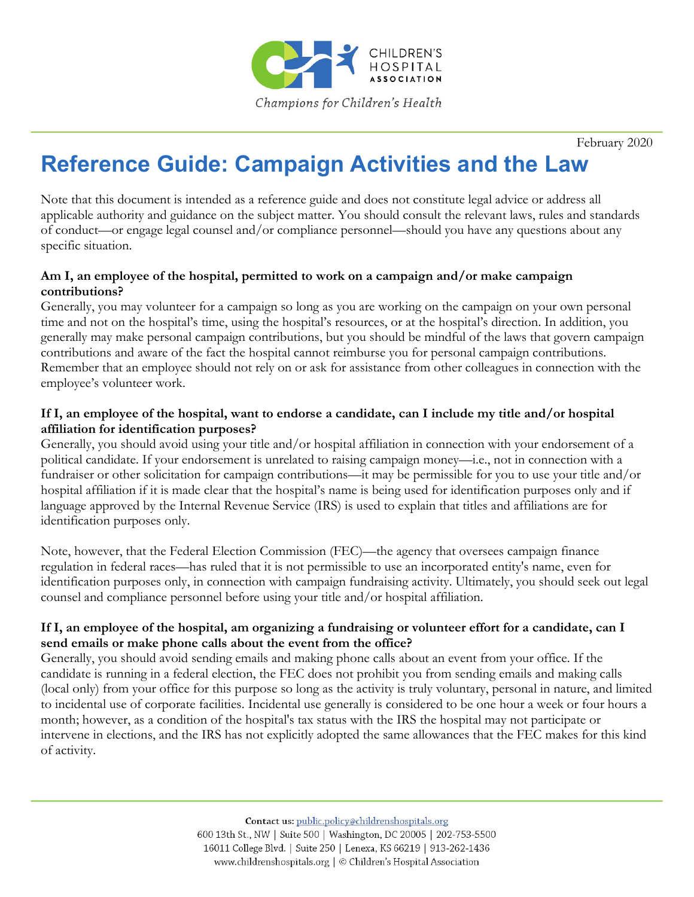

February 2020

# **Reference Guide: Campaign Activities and the Law**

Note that this document is intended as a reference guide and does not constitute legal advice or address all applicable authority and guidance on the subject matter. You should consult the relevant laws, rules and standards of conduct—or engage legal counsel and/or compliance personnel—should you have any questions about any specific situation.

## **Am I, an employee of the hospital, permitted to work on a campaign and/or make campaign contributions?**

Generally, you may volunteer for a campaign so long as you are working on the campaign on your own personal time and not on the hospital's time, using the hospital's resources, or at the hospital's direction. In addition, you generally may make personal campaign contributions, but you should be mindful of the laws that govern campaign contributions and aware of the fact the hospital cannot reimburse you for personal campaign contributions. Remember that an employee should not rely on or ask for assistance from other colleagues in connection with the employee's volunteer work.

#### **If I, an employee of the hospital, want to endorse a candidate, can I include my title and/or hospital affiliation for identification purposes?**

Generally, you should avoid using your title and/or hospital affiliation in connection with your endorsement of a political candidate. If your endorsement is unrelated to raising campaign money—i.e., not in connection with a fundraiser or other solicitation for campaign contributions—it may be permissible for you to use your title and/or hospital affiliation if it is made clear that the hospital's name is being used for identification purposes only and if language approved by the Internal Revenue Service (IRS) is used to explain that titles and affiliations are for identification purposes only.

Note, however, that the Federal Election Commission (FEC)—the agency that oversees campaign finance regulation in federal races—has ruled that it is not permissible to use an incorporated entity's name, even for identification purposes only, in connection with campaign fundraising activity. Ultimately, you should seek out legal counsel and compliance personnel before using your title and/or hospital affiliation.

#### **If I, an employee of the hospital, am organizing a fundraising or volunteer effort for a candidate, can I send emails or make phone calls about the event from the office?**

Generally, you should avoid sending emails and making phone calls about an event from your office. If the candidate is running in a federal election, the FEC does not prohibit you from sending emails and making calls (local only) from your office for this purpose so long as the activity is truly voluntary, personal in nature, and limited to incidental use of corporate facilities. Incidental use generally is considered to be one hour a week or four hours a month; however, as a condition of the hospital's tax status with the IRS the hospital may not participate or intervene in elections, and the IRS has not explicitly adopted the same allowances that the FEC makes for this kind of activity.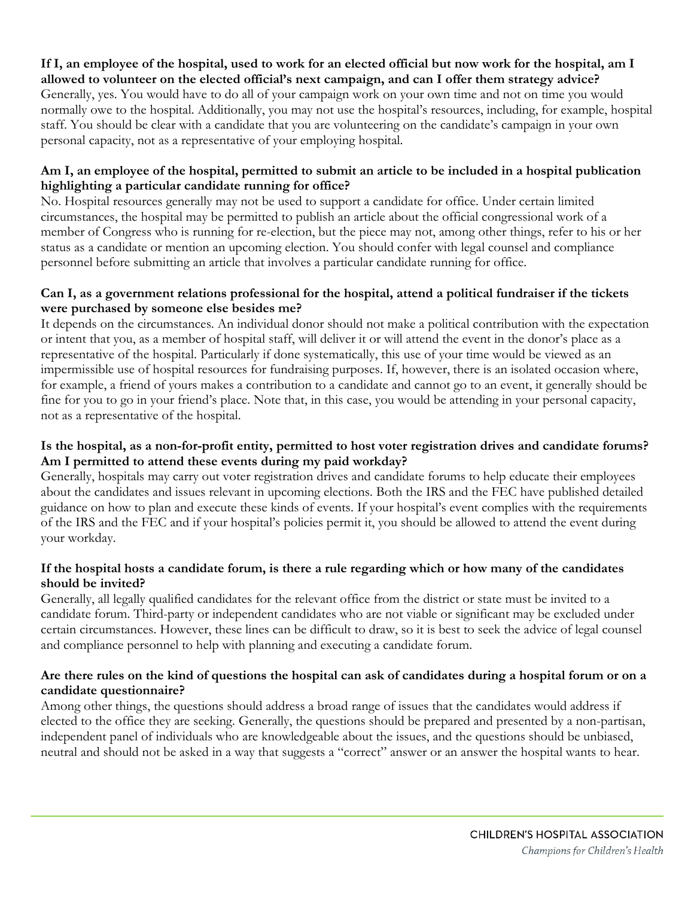#### **If I, an employee of the hospital, used to work for an elected official but now work for the hospital, am I allowed to volunteer on the elected official's next campaign, and can I offer them strategy advice?**

Generally, yes. You would have to do all of your campaign work on your own time and not on time you would normally owe to the hospital. Additionally, you may not use the hospital's resources, including, for example, hospital staff. You should be clear with a candidate that you are volunteering on the candidate's campaign in your own personal capacity, not as a representative of your employing hospital.

## **Am I, an employee of the hospital, permitted to submit an article to be included in a hospital publication highlighting a particular candidate running for office?**

No. Hospital resources generally may not be used to support a candidate for office. Under certain limited circumstances, the hospital may be permitted to publish an article about the official congressional work of a member of Congress who is running for re-election, but the piece may not, among other things, refer to his or her status as a candidate or mention an upcoming election. You should confer with legal counsel and compliance personnel before submitting an article that involves a particular candidate running for office.

## **Can I, as a government relations professional for the hospital, attend a political fundraiser if the tickets were purchased by someone else besides me?**

It depends on the circumstances. An individual donor should not make a political contribution with the expectation or intent that you, as a member of hospital staff, will deliver it or will attend the event in the donor's place as a representative of the hospital. Particularly if done systematically, this use of your time would be viewed as an impermissible use of hospital resources for fundraising purposes. If, however, there is an isolated occasion where, for example, a friend of yours makes a contribution to a candidate and cannot go to an event, it generally should be fine for you to go in your friend's place. Note that, in this case, you would be attending in your personal capacity, not as a representative of the hospital.

# **Is the hospital, as a non-for-profit entity, permitted to host voter registration drives and candidate forums? Am I permitted to attend these events during my paid workday?**

Generally, hospitals may carry out voter registration drives and candidate forums to help educate their employees about the candidates and issues relevant in upcoming elections. Both the IRS and the FEC have published detailed guidance on how to plan and execute these kinds of events. If your hospital's event complies with the requirements of the IRS and the FEC and if your hospital's policies permit it, you should be allowed to attend the event during your workday.

# **If the hospital hosts a candidate forum, is there a rule regarding which or how many of the candidates should be invited?**

Generally, all legally qualified candidates for the relevant office from the district or state must be invited to a candidate forum. Third-party or independent candidates who are not viable or significant may be excluded under certain circumstances. However, these lines can be difficult to draw, so it is best to seek the advice of legal counsel and compliance personnel to help with planning and executing a candidate forum.

# **Are there rules on the kind of questions the hospital can ask of candidates during a hospital forum or on a candidate questionnaire?**

Among other things, the questions should address a broad range of issues that the candidates would address if elected to the office they are seeking. Generally, the questions should be prepared and presented by a non-partisan, independent panel of individuals who are knowledgeable about the issues, and the questions should be unbiased, neutral and should not be asked in a way that suggests a "correct" answer or an answer the hospital wants to hear.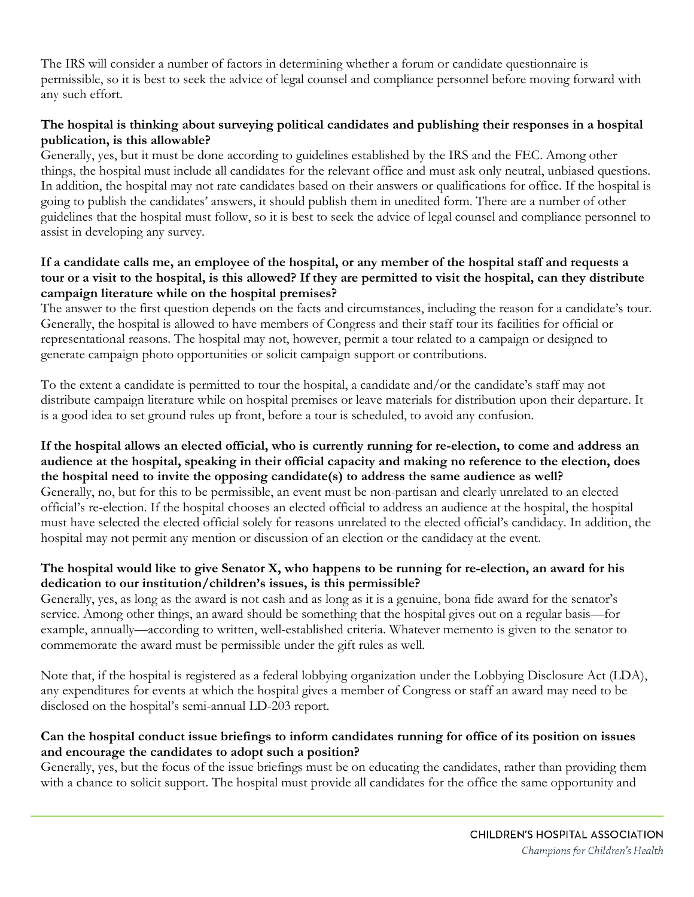The IRS will consider a number of factors in determining whether a forum or candidate questionnaire is permissible, so it is best to seek the advice of legal counsel and compliance personnel before moving forward with any such effort.

# **The hospital is thinking about surveying political candidates and publishing their responses in a hospital publication, is this allowable?**

Generally, yes, but it must be done according to guidelines established by the IRS and the FEC. Among other things, the hospital must include all candidates for the relevant office and must ask only neutral, unbiased questions. In addition, the hospital may not rate candidates based on their answers or qualifications for office. If the hospital is going to publish the candidates' answers, it should publish them in unedited form. There are a number of other guidelines that the hospital must follow, so it is best to seek the advice of legal counsel and compliance personnel to assist in developing any survey.

#### **If a candidate calls me, an employee of the hospital, or any member of the hospital staff and requests a tour or a visit to the hospital, is this allowed? If they are permitted to visit the hospital, can they distribute campaign literature while on the hospital premises?**

The answer to the first question depends on the facts and circumstances, including the reason for a candidate's tour. Generally, the hospital is allowed to have members of Congress and their staff tour its facilities for official or representational reasons. The hospital may not, however, permit a tour related to a campaign or designed to generate campaign photo opportunities or solicit campaign support or contributions.

To the extent a candidate is permitted to tour the hospital, a candidate and/or the candidate's staff may not distribute campaign literature while on hospital premises or leave materials for distribution upon their departure. It is a good idea to set ground rules up front, before a tour is scheduled, to avoid any confusion.

#### **If the hospital allows an elected official, who is currently running for re-election, to come and address an audience at the hospital, speaking in their official capacity and making no reference to the election, does the hospital need to invite the opposing candidate(s) to address the same audience as well?** Generally, no, but for this to be permissible, an event must be non-partisan and clearly unrelated to an elected official's re-election. If the hospital chooses an elected official to address an audience at the hospital, the hospital must have selected the elected official solely for reasons unrelated to the elected official's candidacy. In addition, the hospital may not permit any mention or discussion of an election or the candidacy at the event.

# **The hospital would like to give Senator X, who happens to be running for re-election, an award for his dedication to our institution/children's issues, is this permissible?**

Generally, yes, as long as the award is not cash and as long as it is a genuine, bona fide award for the senator's service. Among other things, an award should be something that the hospital gives out on a regular basis—for example, annually—according to written, well-established criteria. Whatever memento is given to the senator to commemorate the award must be permissible under the gift rules as well.

Note that, if the hospital is registered as a federal lobbying organization under the Lobbying Disclosure Act (LDA), any expenditures for events at which the hospital gives a member of Congress or staff an award may need to be disclosed on the hospital's semi-annual LD-203 report.

# **Can the hospital conduct issue briefings to inform candidates running for office of its position on issues and encourage the candidates to adopt such a position?**

Generally, yes, but the focus of the issue briefings must be on educating the candidates, rather than providing them with a chance to solicit support. The hospital must provide all candidates for the office the same opportunity and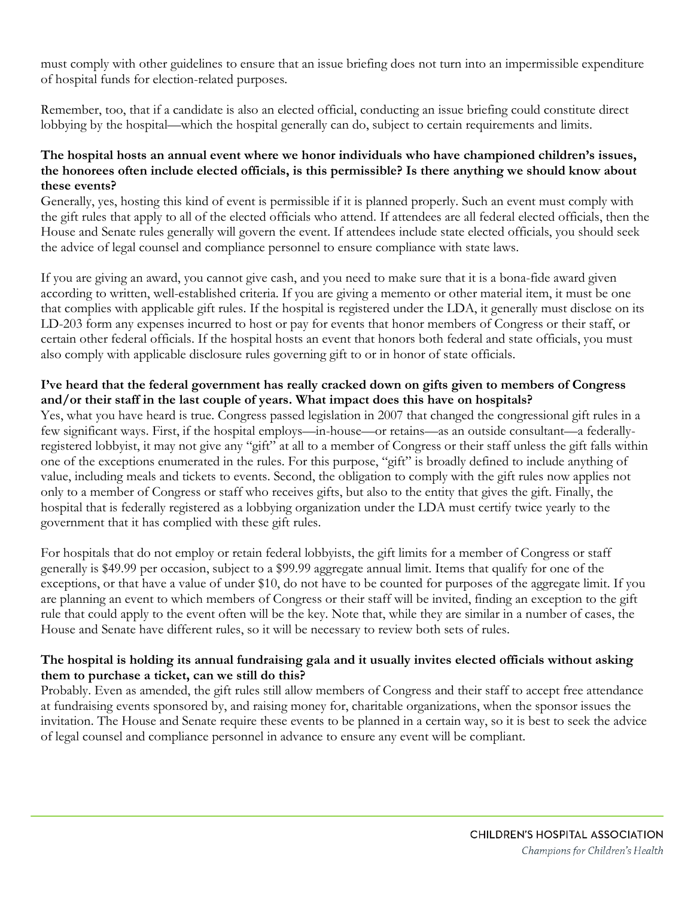must comply with other guidelines to ensure that an issue briefing does not turn into an impermissible expenditure of hospital funds for election-related purposes.

Remember, too, that if a candidate is also an elected official, conducting an issue briefing could constitute direct lobbying by the hospital—which the hospital generally can do, subject to certain requirements and limits.

#### **The hospital hosts an annual event where we honor individuals who have championed children's issues, the honorees often include elected officials, is this permissible? Is there anything we should know about these events?**

Generally, yes, hosting this kind of event is permissible if it is planned properly. Such an event must comply with the gift rules that apply to all of the elected officials who attend. If attendees are all federal elected officials, then the House and Senate rules generally will govern the event. If attendees include state elected officials, you should seek the advice of legal counsel and compliance personnel to ensure compliance with state laws.

If you are giving an award, you cannot give cash, and you need to make sure that it is a bona-fide award given according to written, well-established criteria. If you are giving a memento or other material item, it must be one that complies with applicable gift rules. If the hospital is registered under the LDA, it generally must disclose on its LD-203 form any expenses incurred to host or pay for events that honor members of Congress or their staff, or certain other federal officials. If the hospital hosts an event that honors both federal and state officials, you must also comply with applicable disclosure rules governing gift to or in honor of state officials.

# **I've heard that the federal government has really cracked down on gifts given to members of Congress and/or their staff in the last couple of years. What impact does this have on hospitals?**

Yes, what you have heard is true. Congress passed legislation in 2007 that changed the congressional gift rules in a few significant ways. First, if the hospital employs—in-house—or retains—as an outside consultant—a federallyregistered lobbyist, it may not give any "gift" at all to a member of Congress or their staff unless the gift falls within one of the exceptions enumerated in the rules. For this purpose, "gift" is broadly defined to include anything of value, including meals and tickets to events. Second, the obligation to comply with the gift rules now applies not only to a member of Congress or staff who receives gifts, but also to the entity that gives the gift. Finally, the hospital that is federally registered as a lobbying organization under the LDA must certify twice yearly to the government that it has complied with these gift rules.

For hospitals that do not employ or retain federal lobbyists, the gift limits for a member of Congress or staff generally is \$49.99 per occasion, subject to a \$99.99 aggregate annual limit. Items that qualify for one of the exceptions, or that have a value of under \$10, do not have to be counted for purposes of the aggregate limit. If you are planning an event to which members of Congress or their staff will be invited, finding an exception to the gift rule that could apply to the event often will be the key. Note that, while they are similar in a number of cases, the House and Senate have different rules, so it will be necessary to review both sets of rules.

# **The hospital is holding its annual fundraising gala and it usually invites elected officials without asking them to purchase a ticket, can we still do this?**

Probably. Even as amended, the gift rules still allow members of Congress and their staff to accept free attendance at fundraising events sponsored by, and raising money for, charitable organizations, when the sponsor issues the invitation. The House and Senate require these events to be planned in a certain way, so it is best to seek the advice of legal counsel and compliance personnel in advance to ensure any event will be compliant.